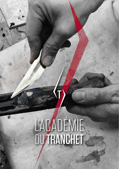# L'ACADÉMIE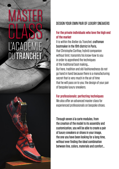## **L'ACADEN DU TRANCHET**

#### DESIGN YOUR OWN PAIR OF LUXURY SNEAKERS

#### **For the private individuals who love the high end of the market**

It is within the Atelier du Tranchet, craftsman bootmaker in the 19th district in Paris, that Christophe Corthay, hybrid companion without limit, transmits his know-how to you in order to apprehend the techniques of the traditional boot making... But here, tradition and old-fashionedness do not go hand in hand because there is a manufacturing secret that is very much in the air of time that he will pass on to you: the design of your pair of bespoke luxury sneakers.

#### **For professionals: perfecting techniques**

We also offer an advanced master class for experienced professionals on bespoke shoes.

Through seven à la carte modules, from the creation of the model to its assembly and customization, you will be able to create a pair of luxury sneakers or shoes in your image, the one you have been looking for a long time, without ever finding the ideal combination between line, colors, materials and comfort...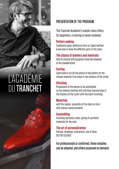### **L'ACADÉMIE DU TRANCHET**

#### PRESENTATION OF THE PROGRAM

The Tranchet Academy's master class offers, for beginners, a training in seven modules:

#### **Pattern making**

Cardboard paper method on form or taped method: know how to draw the different parts of the stem.

#### **The choice of leathers and materials**

How to choose and recognize materials adapted to the sneaker/shoe.

#### **Cutting**

Learn how to cut all the pieces of the pattern on the chosen material. First steps in the mastery of the cutter.

#### **Stitching**

Preparation of the pieces to be assembled on the sewing machine and stitching (second step in the mastery of the cutter with the hand trimming).

#### **Mounting**

with the stapler, assembly of the stem on form with interior reinforcements.

#### **Assembling**

Finishing and basic soles, gluing of synthetic materials for the sole.

#### **The art of personalization**

Patinas, drawings, colorations, use of dyes: GO FOR COLORS!

For professionals or confirmed, these modules can be adapted, and others proposed on demand.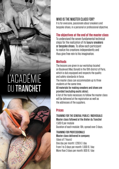## **L'ACADÉMIE DU TRANCHET**



#### WHO IS THE MASTER CLASS FOR?

It is for everyone, passionate about sneakers and bespoke shoes, in a personal or professional objective.

#### **The objectives at the end of the master class**

To understand the seven fundamental technical steps for the realization of its luxury sneakers or bespoke shoes. To allow each participant to realize his creations independently and thus give free rein to his imagination.

#### **Methods**

The lessons are given in our workshop located on Boulevard Mac Donald in the 19th district of Paris, which is duly equipped and respects the quality and safety standards in force.

The master class can accommodate up to three students at the same time.

#### All materials for making sneakers and shoes are provided (excluding exotic skins).

A list of the tools necessary to follow the master class will be delivered at the registration as well as the addresses of the suppliers.

#### **Prices**

#### TRAINING FOR THE GENERAL PUBLIC / INDIVIDUALS Master class followed at the Atelier du Tranchet 1.500 € per module

Duration of each module: 18h, spread over 3 days.

#### TRAINING FOR PROFESSIONALS Master class delivered in company (days of 7 hours) One day per month: 1.200 € / day From 1 to 3 days per month: 1.000 € / day More than 3 days per month: 800 € / day